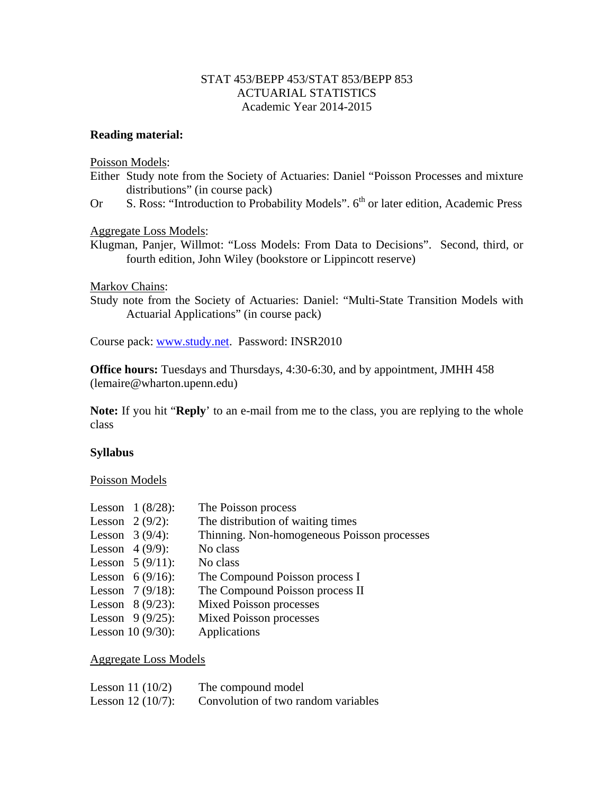## STAT 453/BEPP 453/STAT 853/BEPP 853 ACTUARIAL STATISTICS Academic Year 2014-2015

## **Reading material:**

Poisson Models:

- Either Study note from the Society of Actuaries: Daniel "Poisson Processes and mixture distributions" (in course pack)
- Or S. Ross: "Introduction to Probability Models". 6<sup>th</sup> or later edition, Academic Press

Aggregate Loss Models:

Klugman, Panjer, Willmot: "Loss Models: From Data to Decisions". Second, third, or fourth edition, John Wiley (bookstore or Lippincott reserve)

Markov Chains:

Study note from the Society of Actuaries: Daniel: "Multi-State Transition Models with Actuarial Applications" (in course pack)

Course pack: www.study.net. Password: INSR2010

**Office hours:** Tuesdays and Thursdays, 4:30-6:30, and by appointment, JMHH 458 (lemaire@wharton.upenn.edu)

**Note:** If you hit "**Reply**' to an e-mail from me to the class, you are replying to the whole class

## **Syllabus**

## Poisson Models

|                   | Lesson $1 (8/28)$ : | The Poisson process                         |
|-------------------|---------------------|---------------------------------------------|
| Lesson $2(9/2)$ : |                     | The distribution of waiting times           |
| Lesson $3(9/4)$ : |                     | Thinning. Non-homogeneous Poisson processes |
| Lesson $4(9/9)$ : |                     | No class                                    |
|                   | Lesson $5(9/11)$ :  | No class                                    |
|                   | Lesson $6 (9/16)$ : | The Compound Poisson process I              |
|                   | Lesson $7(9/18)$ :  | The Compound Poisson process II             |
|                   | Lesson $8(9/23)$ :  | <b>Mixed Poisson processes</b>              |
|                   | Lesson $9(9/25)$ :  | <b>Mixed Poisson processes</b>              |
|                   | Lesson $10(9/30)$ : | Applications                                |

Aggregate Loss Models

| Lesson 11 $(10/2)$  | The compound model                  |
|---------------------|-------------------------------------|
| Lesson $12(10/7)$ : | Convolution of two random variables |